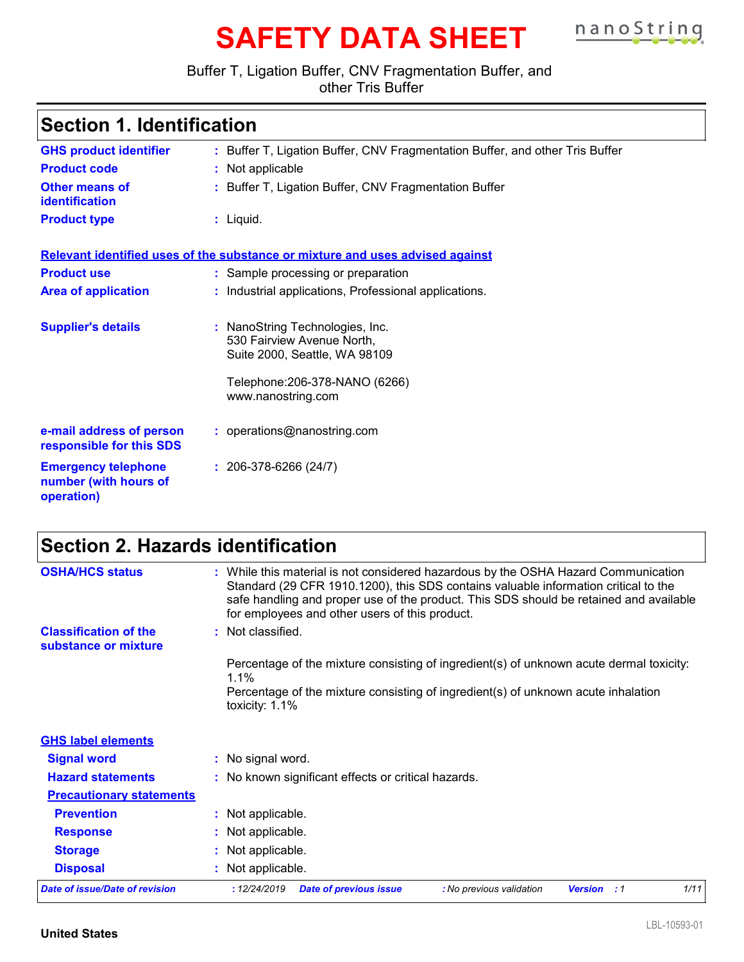# **SAFETY DATA SHEET nanoString**

### Buffer T, Ligation Buffer, CNV Fragmentation Buffer, and

other Tris Buffer

| <b>Section 1. Identification</b>                                  |                                                                                                                                                           |  |
|-------------------------------------------------------------------|-----------------------------------------------------------------------------------------------------------------------------------------------------------|--|
| <b>GHS product identifier</b>                                     | : Buffer T, Ligation Buffer, CNV Fragmentation Buffer, and other Tris Buffer                                                                              |  |
| <b>Product code</b>                                               | : Not applicable                                                                                                                                          |  |
| Other means of<br>identification                                  | : Buffer T, Ligation Buffer, CNV Fragmentation Buffer                                                                                                     |  |
| <b>Product type</b>                                               | $:$ Liquid.                                                                                                                                               |  |
|                                                                   | Relevant identified uses of the substance or mixture and uses advised against                                                                             |  |
| <b>Product use</b>                                                | : Sample processing or preparation                                                                                                                        |  |
| <b>Area of application</b>                                        | : Industrial applications, Professional applications.                                                                                                     |  |
| <b>Supplier's details</b>                                         | NanoString Technologies, Inc.<br>÷<br>530 Fairview Avenue North,<br>Suite 2000, Seattle, WA 98109<br>Telephone: 206-378-NANO (6266)<br>www.nanostring.com |  |
| e-mail address of person<br>responsible for this SDS              | : operations@nanostring.com                                                                                                                               |  |
| <b>Emergency telephone</b><br>number (with hours of<br>operation) | $: 206-378-6266(24/7)$                                                                                                                                    |  |

## **Section 2. Hazards identification**

| <b>OSHA/HCS status</b>                               | : While this material is not considered hazardous by the OSHA Hazard Communication<br>Standard (29 CFR 1910.1200), this SDS contains valuable information critical to the<br>safe handling and proper use of the product. This SDS should be retained and available<br>for employees and other users of this product. |      |
|------------------------------------------------------|-----------------------------------------------------------------------------------------------------------------------------------------------------------------------------------------------------------------------------------------------------------------------------------------------------------------------|------|
| <b>Classification of the</b><br>substance or mixture | : Not classified.                                                                                                                                                                                                                                                                                                     |      |
|                                                      | Percentage of the mixture consisting of ingredient(s) of unknown acute dermal toxicity:<br>$1.1\%$                                                                                                                                                                                                                    |      |
|                                                      | Percentage of the mixture consisting of ingredient(s) of unknown acute inhalation<br>toxicity: 1.1%                                                                                                                                                                                                                   |      |
| <b>GHS label elements</b>                            |                                                                                                                                                                                                                                                                                                                       |      |
| <b>Signal word</b>                                   | : No signal word.                                                                                                                                                                                                                                                                                                     |      |
| <b>Hazard statements</b>                             | : No known significant effects or critical hazards.                                                                                                                                                                                                                                                                   |      |
| <b>Precautionary statements</b>                      |                                                                                                                                                                                                                                                                                                                       |      |
| <b>Prevention</b>                                    | : Not applicable.                                                                                                                                                                                                                                                                                                     |      |
| <b>Response</b>                                      | : Not applicable.                                                                                                                                                                                                                                                                                                     |      |
| <b>Storage</b>                                       | : Not applicable.                                                                                                                                                                                                                                                                                                     |      |
| <b>Disposal</b>                                      | : Not applicable.                                                                                                                                                                                                                                                                                                     |      |
| <b>Date of issue/Date of revision</b>                | : 12/24/2019<br><b>Date of previous issue</b><br>: No previous validation<br><b>Version</b> : 1                                                                                                                                                                                                                       | 1/11 |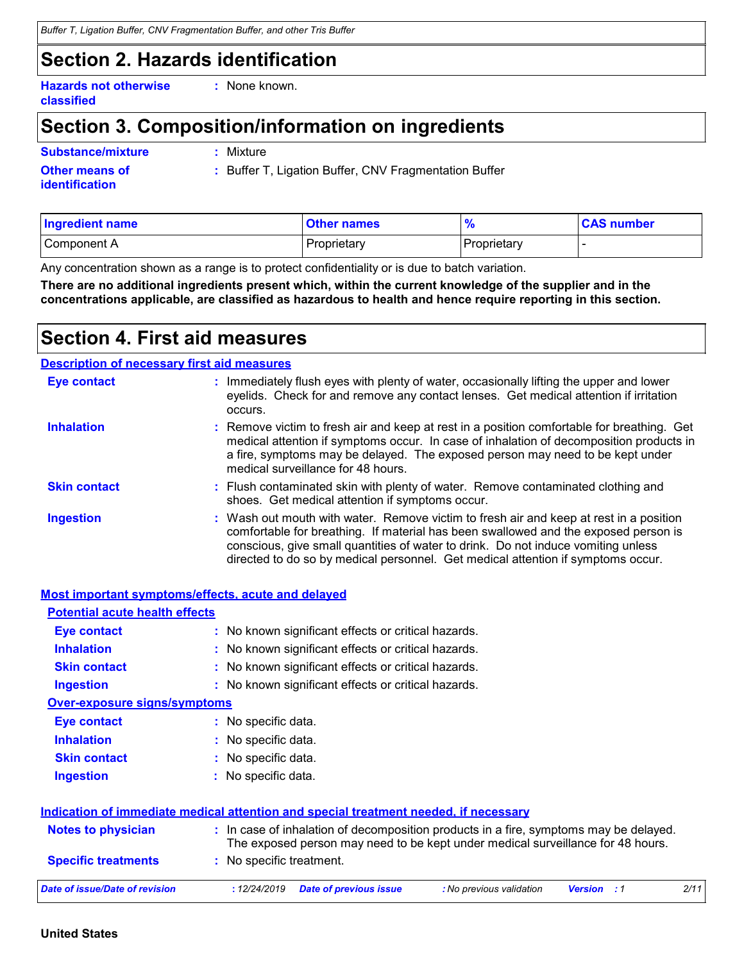### **Section 2. Hazards identification**

**Hazards not otherwise classified**

**:** None known.

### **Section 3. Composition/information on ingredients**

| Substance/mixture     | : Mixture    |
|-----------------------|--------------|
| <b>Other means of</b> | $:$ Buffer T |
| <b>identification</b> |              |

**:** Buffer T, Ligation Buffer, CNV Fragmentation Buffer

| Ingredient name | <b>Other names</b> | $\Omega$<br>70 | <b>CAS number</b> |
|-----------------|--------------------|----------------|-------------------|
| Component A     | Proprietary        | Proprietary    |                   |

Any concentration shown as a range is to protect confidentiality or is due to batch variation.

**There are no additional ingredients present which, within the current knowledge of the supplier and in the concentrations applicable, are classified as hazardous to health and hence require reporting in this section.**

### **Section 4. First aid measures**

#### **Description of necessary first aid measures**

| <b>Eye contact</b>  | : Immediately flush eyes with plenty of water, occasionally lifting the upper and lower<br>eyelids. Check for and remove any contact lenses. Get medical attention if irritation<br>occurs.                                                                                                                                                            |
|---------------------|--------------------------------------------------------------------------------------------------------------------------------------------------------------------------------------------------------------------------------------------------------------------------------------------------------------------------------------------------------|
| <b>Inhalation</b>   | : Remove victim to fresh air and keep at rest in a position comfortable for breathing. Get<br>medical attention if symptoms occur. In case of inhalation of decomposition products in<br>a fire, symptoms may be delayed. The exposed person may need to be kept under<br>medical surveillance for 48 hours.                                           |
| <b>Skin contact</b> | : Flush contaminated skin with plenty of water. Remove contaminated clothing and<br>shoes. Get medical attention if symptoms occur.                                                                                                                                                                                                                    |
| <b>Ingestion</b>    | : Wash out mouth with water. Remove victim to fresh air and keep at rest in a position<br>comfortable for breathing. If material has been swallowed and the exposed person is<br>conscious, give small quantities of water to drink. Do not induce vomiting unless<br>directed to do so by medical personnel. Get medical attention if symptoms occur. |

|                                       | <b>Most important symptoms/effects, acute and delayed</b>                                                                                                                |
|---------------------------------------|--------------------------------------------------------------------------------------------------------------------------------------------------------------------------|
| <b>Potential acute health effects</b> |                                                                                                                                                                          |
| Eye contact                           | : No known significant effects or critical hazards.                                                                                                                      |
| <b>Inhalation</b>                     | : No known significant effects or critical hazards.                                                                                                                      |
| <b>Skin contact</b>                   | : No known significant effects or critical hazards.                                                                                                                      |
| <b>Ingestion</b>                      | : No known significant effects or critical hazards.                                                                                                                      |
| Over-exposure signs/symptoms          |                                                                                                                                                                          |
| <b>Eye contact</b>                    | : No specific data.                                                                                                                                                      |
| <b>Inhalation</b>                     | : No specific data.                                                                                                                                                      |
| <b>Skin contact</b>                   | : No specific data.                                                                                                                                                      |
| <b>Ingestion</b>                      | : No specific data.                                                                                                                                                      |
|                                       | Indication of immediate medical attention and special treatment needed, if necessary                                                                                     |
| <b>Notes to physician</b>             | : In case of inhalation of decomposition products in a fire, symptoms may be delayed.<br>The exposed person may need to be kept under medical surveillance for 48 hours. |
| <b>Specific treatments</b>            | : No specific treatment.                                                                                                                                                 |
| <b>Date of issue/Date of revision</b> | 2/11<br>: 12/24/2019<br><b>Date of previous issue</b><br>: No previous validation<br><b>Version</b> : 1                                                                  |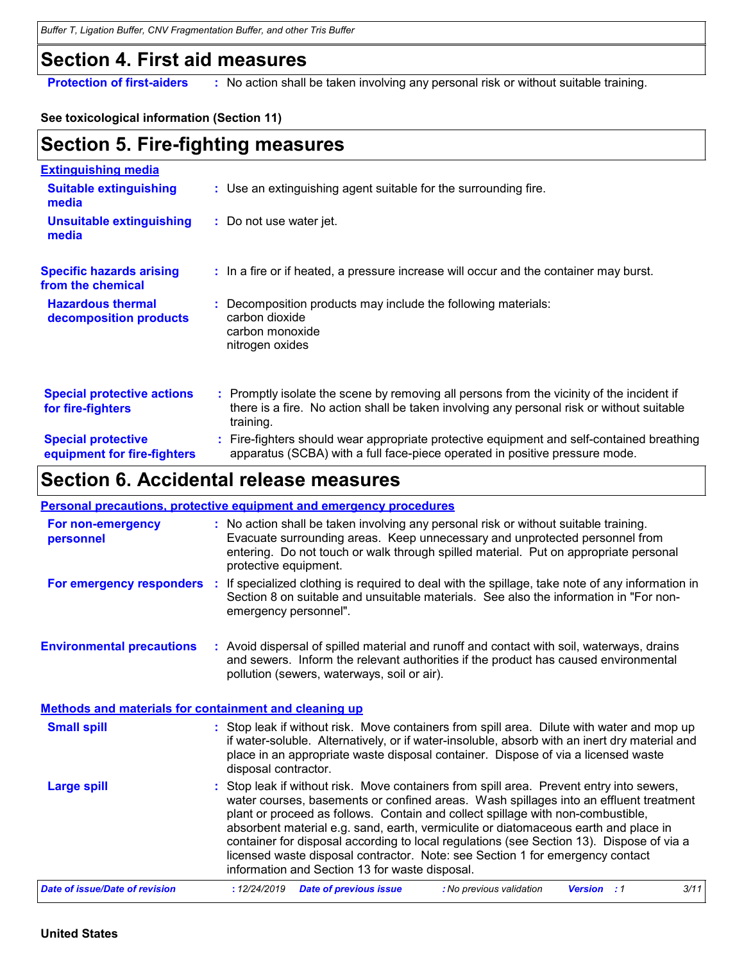### **Section 4. First aid measures**

**Protection of first-aiders** : No action shall be taken involving any personal risk or without suitable training.

**See toxicological information (Section 11)**

### **Section 5. Fire-fighting measures**

| <b>Extinguishing media</b>                               |                                                                                                                                                                                                     |
|----------------------------------------------------------|-----------------------------------------------------------------------------------------------------------------------------------------------------------------------------------------------------|
| <b>Suitable extinguishing</b><br>media                   | : Use an extinguishing agent suitable for the surrounding fire.                                                                                                                                     |
| Unsuitable extinguishing<br>media                        | : Do not use water jet.                                                                                                                                                                             |
| <b>Specific hazards arising</b><br>from the chemical     | : In a fire or if heated, a pressure increase will occur and the container may burst.                                                                                                               |
| <b>Hazardous thermal</b><br>decomposition products       | Decomposition products may include the following materials:<br>carbon dioxide<br>carbon monoxide<br>nitrogen oxides                                                                                 |
| <b>Special protective actions</b><br>for fire-fighters   | : Promptly isolate the scene by removing all persons from the vicinity of the incident if<br>there is a fire. No action shall be taken involving any personal risk or without suitable<br>training. |
| <b>Special protective</b><br>equipment for fire-fighters | : Fire-fighters should wear appropriate protective equipment and self-contained breathing<br>apparatus (SCBA) with a full face-piece operated in positive pressure mode.                            |

### **Section 6. Accidental release measures**

|                                                              | <b>Personal precautions, protective equipment and emergency procedures</b>                                                                                                                                                                                                                                                                                                                                                                                                                                                                                                                 |
|--------------------------------------------------------------|--------------------------------------------------------------------------------------------------------------------------------------------------------------------------------------------------------------------------------------------------------------------------------------------------------------------------------------------------------------------------------------------------------------------------------------------------------------------------------------------------------------------------------------------------------------------------------------------|
| For non-emergency<br>personnel                               | : No action shall be taken involving any personal risk or without suitable training.<br>Evacuate surrounding areas. Keep unnecessary and unprotected personnel from<br>entering. Do not touch or walk through spilled material. Put on appropriate personal<br>protective equipment.                                                                                                                                                                                                                                                                                                       |
| For emergency responders :                                   | If specialized clothing is required to deal with the spillage, take note of any information in<br>Section 8 on suitable and unsuitable materials. See also the information in "For non-<br>emergency personnel".                                                                                                                                                                                                                                                                                                                                                                           |
| <b>Environmental precautions</b>                             | : Avoid dispersal of spilled material and runoff and contact with soil, waterways, drains<br>and sewers. Inform the relevant authorities if the product has caused environmental<br>pollution (sewers, waterways, soil or air).                                                                                                                                                                                                                                                                                                                                                            |
| <b>Methods and materials for containment and cleaning up</b> |                                                                                                                                                                                                                                                                                                                                                                                                                                                                                                                                                                                            |
| <b>Small spill</b>                                           | : Stop leak if without risk. Move containers from spill area. Dilute with water and mop up<br>if water-soluble. Alternatively, or if water-insoluble, absorb with an inert dry material and<br>place in an appropriate waste disposal container. Dispose of via a licensed waste<br>disposal contractor.                                                                                                                                                                                                                                                                                   |
| <b>Large spill</b>                                           | : Stop leak if without risk. Move containers from spill area. Prevent entry into sewers,<br>water courses, basements or confined areas. Wash spillages into an effluent treatment<br>plant or proceed as follows. Contain and collect spillage with non-combustible,<br>absorbent material e.g. sand, earth, vermiculite or diatomaceous earth and place in<br>container for disposal according to local regulations (see Section 13). Dispose of via a<br>licensed waste disposal contractor. Note: see Section 1 for emergency contact<br>information and Section 13 for waste disposal. |
| <b>Date of issue/Date of revision</b>                        | 3/11<br><b>Date of previous issue</b><br>: 12/24/2019<br>: No previous validation<br><b>Version</b> : 1                                                                                                                                                                                                                                                                                                                                                                                                                                                                                    |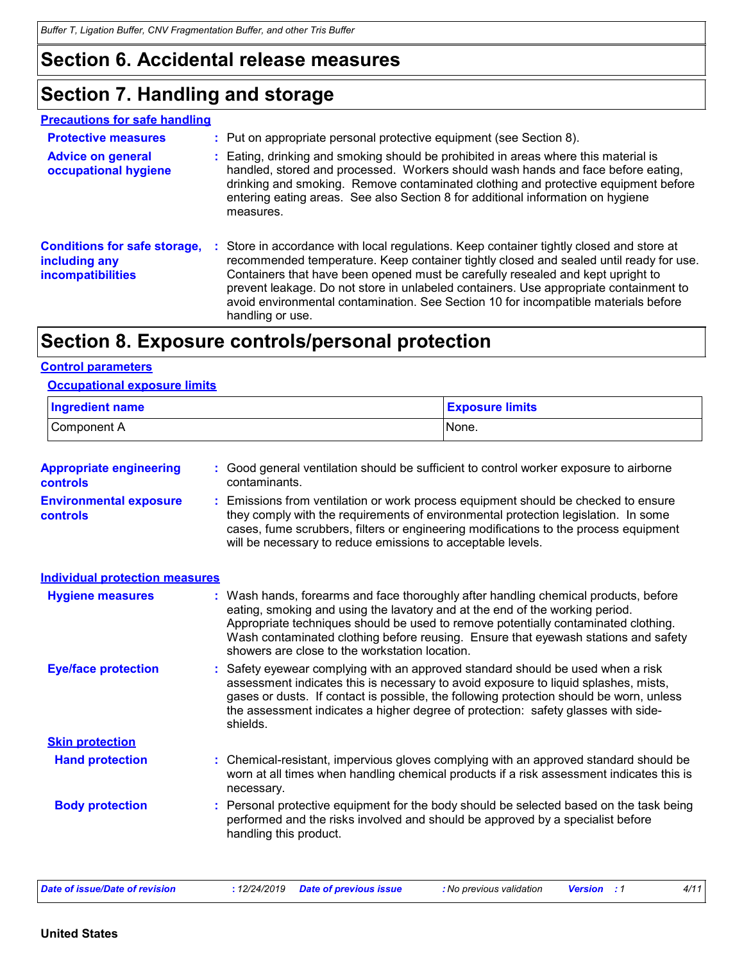### **Section 6. Accidental release measures**

### **Section 7. Handling and storage**

| <b>Precautions for safe handling</b>                                      |    |                                                                                                                                                                                                                                                                                                                                                                                                                                                                         |
|---------------------------------------------------------------------------|----|-------------------------------------------------------------------------------------------------------------------------------------------------------------------------------------------------------------------------------------------------------------------------------------------------------------------------------------------------------------------------------------------------------------------------------------------------------------------------|
| <b>Protective measures</b>                                                |    | : Put on appropriate personal protective equipment (see Section 8).                                                                                                                                                                                                                                                                                                                                                                                                     |
| <b>Advice on general</b><br>occupational hygiene                          |    | Eating, drinking and smoking should be prohibited in areas where this material is<br>handled, stored and processed. Workers should wash hands and face before eating,<br>drinking and smoking. Remove contaminated clothing and protective equipment before<br>entering eating areas. See also Section 8 for additional information on hygiene<br>measures.                                                                                                             |
| <b>Conditions for safe storage,</b><br>including any<br>incompatibilities | ÷. | Store in accordance with local regulations. Keep container tightly closed and store at<br>recommended temperature. Keep container tightly closed and sealed until ready for use.<br>Containers that have been opened must be carefully resealed and kept upright to<br>prevent leakage. Do not store in unlabeled containers. Use appropriate containment to<br>avoid environmental contamination. See Section 10 for incompatible materials before<br>handling or use. |

### **Section 8. Exposure controls/personal protection**

#### **Control parameters**

#### **Occupational exposure limits**

| <b>Ingredient name</b> | <b>Exposure limits</b> |
|------------------------|------------------------|
| Component A            | 'None.                 |

| : Good general ventilation should be sufficient to control worker exposure to airborne<br>contaminants.                                                                                                                                                                                                                                                                                           |
|---------------------------------------------------------------------------------------------------------------------------------------------------------------------------------------------------------------------------------------------------------------------------------------------------------------------------------------------------------------------------------------------------|
| Emissions from ventilation or work process equipment should be checked to ensure<br>they comply with the requirements of environmental protection legislation. In some<br>cases, fume scrubbers, filters or engineering modifications to the process equipment<br>will be necessary to reduce emissions to acceptable levels.                                                                     |
|                                                                                                                                                                                                                                                                                                                                                                                                   |
| : Wash hands, forearms and face thoroughly after handling chemical products, before<br>eating, smoking and using the lavatory and at the end of the working period.<br>Appropriate techniques should be used to remove potentially contaminated clothing.<br>Wash contaminated clothing before reusing. Ensure that eyewash stations and safety<br>showers are close to the workstation location. |
| Safety eyewear complying with an approved standard should be used when a risk<br>assessment indicates this is necessary to avoid exposure to liquid splashes, mists,<br>gases or dusts. If contact is possible, the following protection should be worn, unless<br>the assessment indicates a higher degree of protection: safety glasses with side-<br>shields.                                  |
|                                                                                                                                                                                                                                                                                                                                                                                                   |
| Chemical-resistant, impervious gloves complying with an approved standard should be<br>worn at all times when handling chemical products if a risk assessment indicates this is<br>necessary.                                                                                                                                                                                                     |
| Personal protective equipment for the body should be selected based on the task being<br>performed and the risks involved and should be approved by a specialist before<br>handling this product.                                                                                                                                                                                                 |
| <b>Individual protection measures</b>                                                                                                                                                                                                                                                                                                                                                             |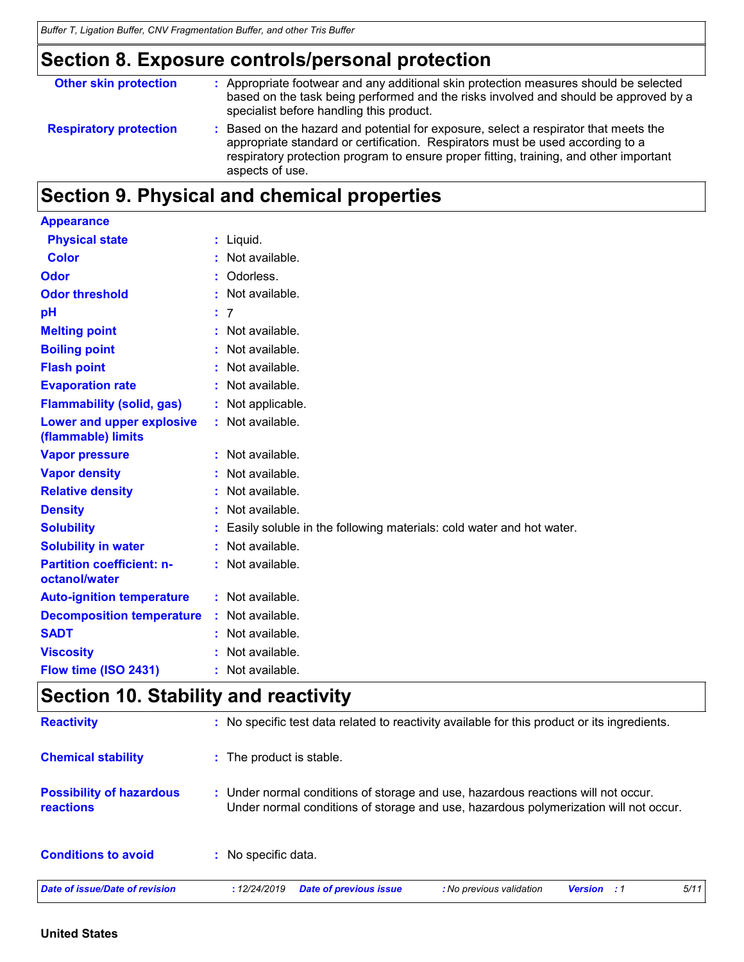### **Section 8. Exposure controls/personal protection**

| <b>Other skin protection</b>  | : Appropriate footwear and any additional skin protection measures should be selected<br>based on the task being performed and the risks involved and should be approved by a<br>specialist before handling this product.                                                           |
|-------------------------------|-------------------------------------------------------------------------------------------------------------------------------------------------------------------------------------------------------------------------------------------------------------------------------------|
| <b>Respiratory protection</b> | : Based on the hazard and potential for exposure, select a respirator that meets the<br>appropriate standard or certification. Respirators must be used according to a<br>respiratory protection program to ensure proper fitting, training, and other important<br>aspects of use. |

### **Section 9. Physical and chemical properties**

| <b>Appearance</b>                                 |                                                                        |
|---------------------------------------------------|------------------------------------------------------------------------|
| <b>Physical state</b>                             | : Liquid.                                                              |
| <b>Color</b>                                      | $:$ Not available.                                                     |
| Odor                                              | : Odorless.                                                            |
| <b>Odor threshold</b>                             | : Not available.                                                       |
| pH                                                | : 7                                                                    |
| <b>Melting point</b>                              | : Not available.                                                       |
| <b>Boiling point</b>                              | : Not available.                                                       |
| <b>Flash point</b>                                | : Not available.                                                       |
| <b>Evaporation rate</b>                           | : Not available.                                                       |
| <b>Flammability (solid, gas)</b>                  | : Not applicable.                                                      |
| Lower and upper explosive<br>(flammable) limits   | : Not available.                                                       |
| <b>Vapor pressure</b>                             | : Not available.                                                       |
| <b>Vapor density</b>                              | : Not available.                                                       |
| <b>Relative density</b>                           | : Not available.                                                       |
| <b>Density</b>                                    | : Not available.                                                       |
| <b>Solubility</b>                                 | : Easily soluble in the following materials: cold water and hot water. |
| <b>Solubility in water</b>                        | : Not available.                                                       |
| <b>Partition coefficient: n-</b><br>octanol/water | : Not available.                                                       |
| <b>Auto-ignition temperature</b>                  | : Not available.                                                       |
| <b>Decomposition temperature</b>                  | : Not available.                                                       |
| <b>SADT</b>                                       | : Not available.                                                       |
| <b>Viscosity</b>                                  | : Not available.                                                       |
| Flow time (ISO 2431)                              | $:$ Not available.                                                     |

### **Section 10. Stability and reactivity**

| <b>Reactivity</b>                            | : No specific test data related to reactivity available for this product or its ingredients.                                                                              |  |  |  |  |
|----------------------------------------------|---------------------------------------------------------------------------------------------------------------------------------------------------------------------------|--|--|--|--|
| <b>Chemical stability</b>                    | : The product is stable.                                                                                                                                                  |  |  |  |  |
| <b>Possibility of hazardous</b><br>reactions | : Under normal conditions of storage and use, hazardous reactions will not occur.<br>Under normal conditions of storage and use, hazardous polymerization will not occur. |  |  |  |  |
| <b>Conditions to avoid</b>                   | : No specific data.                                                                                                                                                       |  |  |  |  |
| <b>Date of issue/Date of revision</b>        | 5/11<br><b>Date of previous issue</b><br>: No previous validation<br>:12/24/2019<br><b>Version</b><br>. . 1                                                               |  |  |  |  |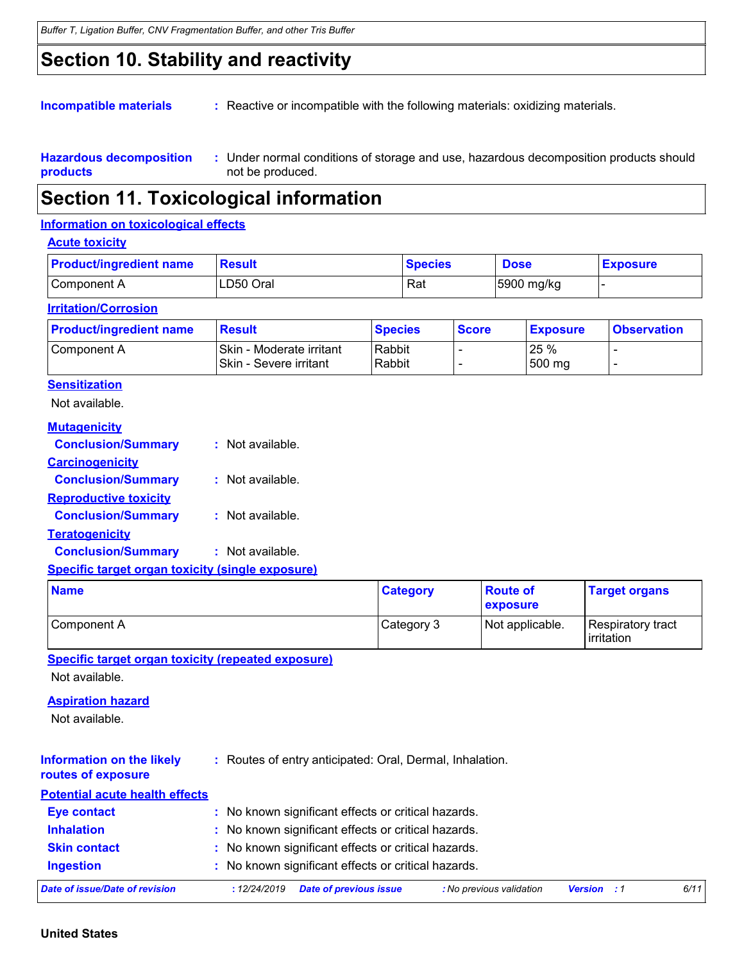### **Section 10. Stability and reactivity**

**Incompatible materials : Reactive or incompatible with the following materials: oxidizing materials.** 

**Hazardous decomposition products** Under normal conditions of storage and use, hazardous decomposition products should **:** not be produced.

### **Section 11. Toxicological information**

#### **Information on toxicological effects**

#### **Acute toxicity**

| <b>Product/ingredient name</b> | <b>Result</b> | <b>Species</b> | <b>Dose</b> | <b>Exposure</b> |
|--------------------------------|---------------|----------------|-------------|-----------------|
| Component A                    | LD50 Oral     | Rat            | 5900 mg/kg  |                 |

#### **Irritation/Corrosion**

| <b>Product/ingredient name</b> | <b>Result</b>                                       | <b>Species</b>   | <b>Score</b> | <b>Exposure</b> | <b>Observation</b> |
|--------------------------------|-----------------------------------------------------|------------------|--------------|-----------------|--------------------|
| Component A                    | Skin - Moderate irritant<br> Skin - Severe irritant | Rabbit<br>Rabbit |              | 25 %<br>500 mg  |                    |

#### **Sensitization**

Not available.

| <b>Mutagenicity</b>          |                  |
|------------------------------|------------------|
| <b>Conclusion/Summary</b>    | : Not available. |
| <b>Carcinogenicity</b>       |                  |
| <b>Conclusion/Summary</b>    | Not available.   |
| <b>Reproductive toxicity</b> |                  |
| <b>Conclusion/Summary</b>    | : Not available. |
| <b>Teratogenicity</b>        |                  |
| <b>Conclusion/Summary</b>    | : Not available. |
|                              |                  |

#### **Specific target organ toxicity (single exposure)**

| <b>Name</b>   | <b>Category</b> | <b>Route of</b><br>exposure | <b>Target organs</b>              |
|---------------|-----------------|-----------------------------|-----------------------------------|
| l Component A | Category 3      | Not applicable.             | Respiratory tract<br>l irritation |

**Specific target organ toxicity (repeated exposure)**

Not available.

#### **Aspiration hazard**

Not available.

### **routes of exposure**

| <b>Potential acute health effects</b> |                                                     |
|---------------------------------------|-----------------------------------------------------|
| <b>Eye contact</b>                    | : No known significant effects or critical hazards. |
| <b>Inhalation</b>                     | : No known significant effects or critical hazards. |
| <b>Skin contact</b>                   | : No known significant effects or critical hazards. |
| <b>Ingestion</b>                      | : No known significant effects or critical hazards. |

*Date of issue/Date of revision* **:** *12/24/2019 Date of previous issue : No previous validation Version : 1 6/11*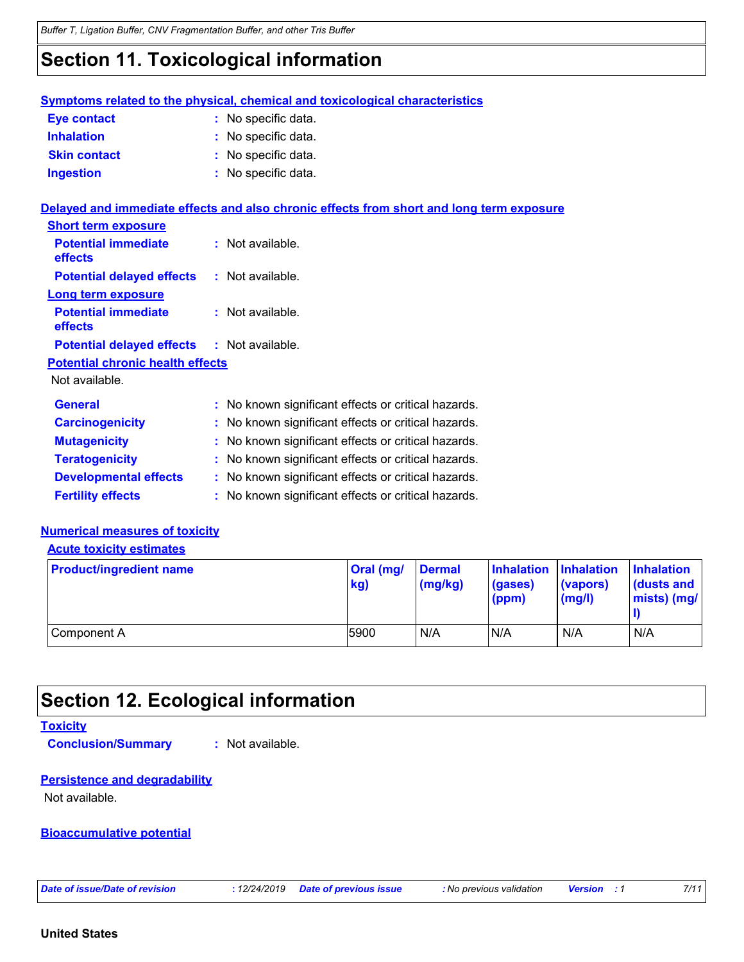### **Section 11. Toxicological information**

|                                         | <b>Symptoms related to the physical, chemical and toxicological characteristics</b>      |
|-----------------------------------------|------------------------------------------------------------------------------------------|
| Eye contact                             | : No specific data.                                                                      |
| <b>Inhalation</b>                       | : No specific data.                                                                      |
| <b>Skin contact</b>                     | : No specific data.                                                                      |
| <b>Ingestion</b>                        | : No specific data.                                                                      |
|                                         | Delayed and immediate effects and also chronic effects from short and long term exposure |
| <b>Short term exposure</b>              |                                                                                          |
| <b>Potential immediate</b><br>effects   | : Not available.                                                                         |
| <b>Potential delayed effects</b>        | : Not available.                                                                         |
| <b>Long term exposure</b>               |                                                                                          |
| <b>Potential immediate</b><br>effects   | $:$ Not available.                                                                       |
| <b>Potential delayed effects</b>        | $:$ Not available.                                                                       |
| <b>Potential chronic health effects</b> |                                                                                          |
| Not available.                          |                                                                                          |
| <b>General</b>                          | : No known significant effects or critical hazards.                                      |
| <b>Carcinogenicity</b>                  | : No known significant effects or critical hazards.                                      |
| <b>Mutagenicity</b>                     | : No known significant effects or critical hazards.                                      |
| <b>Teratogenicity</b>                   | : No known significant effects or critical hazards.                                      |
| <b>Developmental effects</b>            | : No known significant effects or critical hazards.                                      |
| <b>Fertility effects</b>                | : No known significant effects or critical hazards.                                      |

#### **Numerical measures of toxicity**

#### **Acute toxicity estimates**

| <b>Product/ingredient name</b> | Oral (mg/<br>kg) | <b>Dermal</b><br>(mg/kg) | Inhalation Inhalation<br>(gases)<br>(ppm) | (vapors)<br>(mg/l) | <b>Inhalation</b><br>l (dusts and<br>$mists)$ (mg/ |
|--------------------------------|------------------|--------------------------|-------------------------------------------|--------------------|----------------------------------------------------|
| Component A                    | 5900             | N/A                      | N/A                                       | N/A                | N/A                                                |

### **Section 12. Ecological information**

#### **Toxicity**

**Conclusion/Summary :** Not available.

#### **Persistence and degradability**

Not available.

#### **Bioaccumulative potential**

*Date of issue/Date of revision* **:** *12/24/2019 Date of previous issue : No previous validation Version : 1 7/11*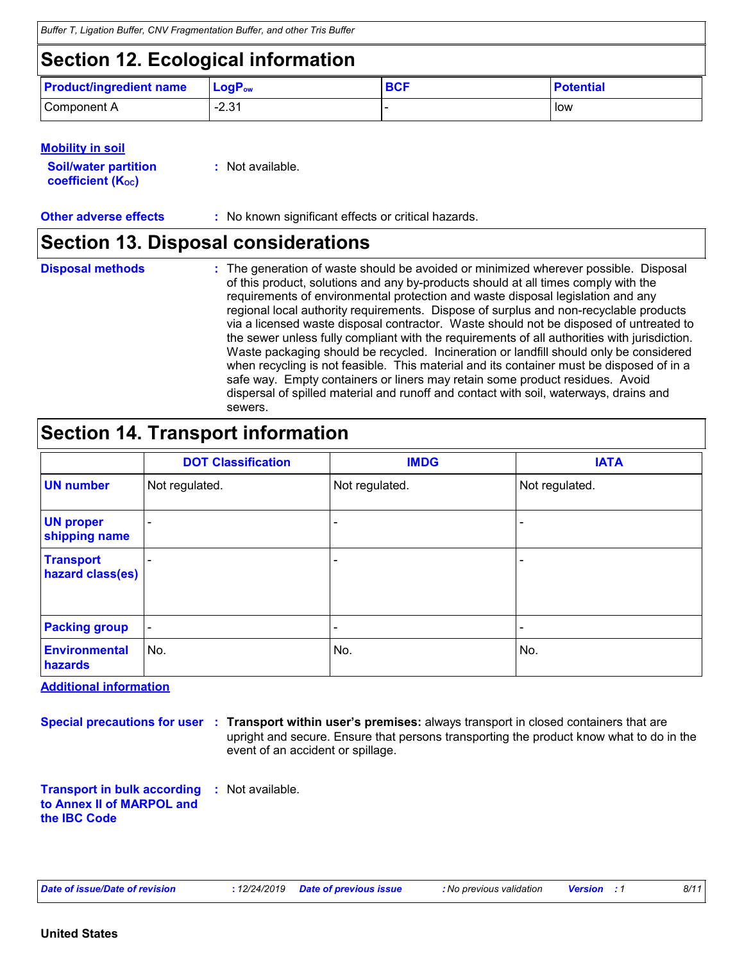*Buffer T, Ligation Buffer, CNV Fragmentation Buffer, and other Tris Buffer*

## **Section 12. Ecological information**

| <b>Product/ingredient name</b> | $\mathsf{LogP}_\mathsf{ow}$ | $\mathbf{C} \cap \mathbf{C}$<br>יטס | <b>Potential</b> |
|--------------------------------|-----------------------------|-------------------------------------|------------------|
| Component A                    | 221<br>، د.∠-               |                                     | low              |

|  | <b>Mobility in soil</b> |  |
|--|-------------------------|--|
|  |                         |  |

**Soil/water partition coefficient (KOC) :** Not available.

**Other adverse effects** : No known significant effects or critical hazards.

### **Section 13. Disposal considerations**

The generation of waste should be avoided or minimized wherever possible. Disposal of this product, solutions and any by-products should at all times comply with the requirements of environmental protection and waste disposal legislation and any regional local authority requirements. Dispose of surplus and non-recyclable products via a licensed waste disposal contractor. Waste should not be disposed of untreated to the sewer unless fully compliant with the requirements of all authorities with jurisdiction. Waste packaging should be recycled. Incineration or landfill should only be considered when recycling is not feasible. This material and its container must be disposed of in a safe way. Empty containers or liners may retain some product residues. Avoid dispersal of spilled material and runoff and contact with soil, waterways, drains and sewers. **Disposal methods :**

### **Section 14. Transport information**

|                                      | <b>DOT Classification</b> | <b>IMDG</b>                  | <b>IATA</b>              |
|--------------------------------------|---------------------------|------------------------------|--------------------------|
| <b>UN number</b>                     | Not regulated.            | Not regulated.               | Not regulated.           |
| <b>UN proper</b><br>shipping name    | $\overline{\phantom{a}}$  | -                            |                          |
| <b>Transport</b><br>hazard class(es) | $\overline{\phantom{a}}$  | $\overline{\phantom{0}}$     | $\overline{\phantom{a}}$ |
| <b>Packing group</b>                 | $\overline{\phantom{a}}$  | $\qquad \qquad \blacksquare$ | $\overline{\phantom{a}}$ |
| <b>Environmental</b><br>hazards      | No.                       | No.                          | No.                      |

**Additional information**

**Special precautions for user Transport within user's premises:** always transport in closed containers that are **:**

upright and secure. Ensure that persons transporting the product know what to do in the event of an accident or spillage.

**Transport in bulk according :** Not available. **to Annex II of MARPOL and the IBC Code**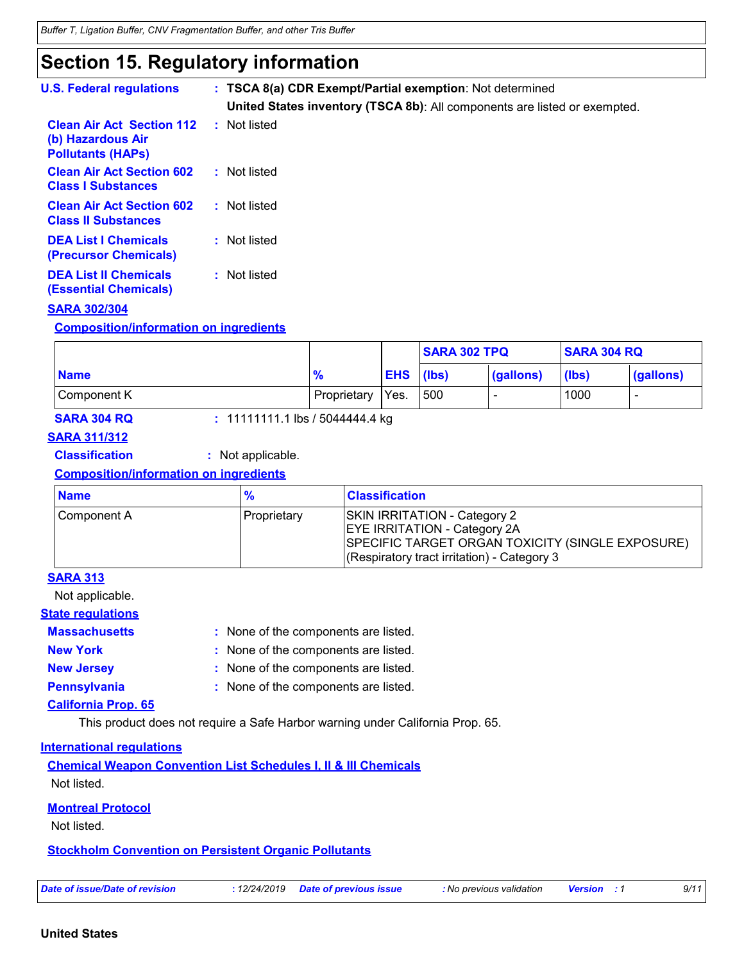### **Section 15. Regulatory information**

| <b>U.S. Federal regulations</b>                                                   | : TSCA 8(a) CDR Exempt/Partial exemption: Not determined<br>United States inventory (TSCA 8b): All components are listed or exempted. |
|-----------------------------------------------------------------------------------|---------------------------------------------------------------------------------------------------------------------------------------|
| <b>Clean Air Act Section 112</b><br>(b) Hazardous Air<br><b>Pollutants (HAPS)</b> | : Not listed                                                                                                                          |
| <b>Clean Air Act Section 602</b><br><b>Class I Substances</b>                     | : Not listed                                                                                                                          |
| <b>Clean Air Act Section 602</b><br><b>Class II Substances</b>                    | : Not listed                                                                                                                          |
| <b>DEA List I Chemicals</b><br><b>(Precursor Chemicals)</b>                       | : Not listed                                                                                                                          |
| <b>DEA List II Chemicals</b><br><b>(Essential Chemicals)</b>                      | : Not listed                                                                                                                          |

#### **SARA 302/304**

#### **Composition/information on ingredients**

|             |               |                  | <b>SARA 302 TPQ</b> |                          | <b>SARA 304 RQ</b> |           |
|-------------|---------------|------------------|---------------------|--------------------------|--------------------|-----------|
| <b>Name</b> | $\frac{9}{6}$ | <b>EHS</b> (lbs) |                     | (gallons)                | (lbs)              | (gallons) |
| Component K | Proprietary   | Yes.             | 500                 | $\overline{\phantom{a}}$ | 1000               | -         |

**SARA 304 RQ :** 11111111.1 lbs / 5044444.4 kg

### **SARA 311/312**

**Classification :** Not applicable.

#### **Composition/information on ingredients**

| <b>Name</b> |             | <b>Classification</b>                                                                                                                                                                |
|-------------|-------------|--------------------------------------------------------------------------------------------------------------------------------------------------------------------------------------|
| Component A | Proprietary | <b>SKIN IRRITATION - Category 2</b><br><b>EYE IRRITATION - Category 2A</b><br><b>SPECIFIC TARGET ORGAN TOXICITY (SINGLE EXPOSURE)</b><br>(Respiratory tract irritation) - Category 3 |

#### **SARA 313**

Not applicable.

#### **State regulations**

**Massachusetts** : None of the components are listed.

- 
- **New York :** None of the components are listed.
- **New Jersey :** None of the components are listed.
- **Pennsylvania :** None of the components are listed.
	-

### **California Prop. 65**

This product does not require a Safe Harbor warning under California Prop. 65.

#### **International regulations**

**Chemical Weapon Convention List Schedules I, II & III Chemicals** Not listed.

#### **Montreal Protocol**

Not listed.

#### **Stockholm Convention on Persistent Organic Pollutants**

| Date of issue/Date of revision |  |  |  |  |
|--------------------------------|--|--|--|--|
|--------------------------------|--|--|--|--|

*Date of issue/Date of revision* **:** *12/24/2019 Date of previous issue : No previous validation Version : 1 9/11*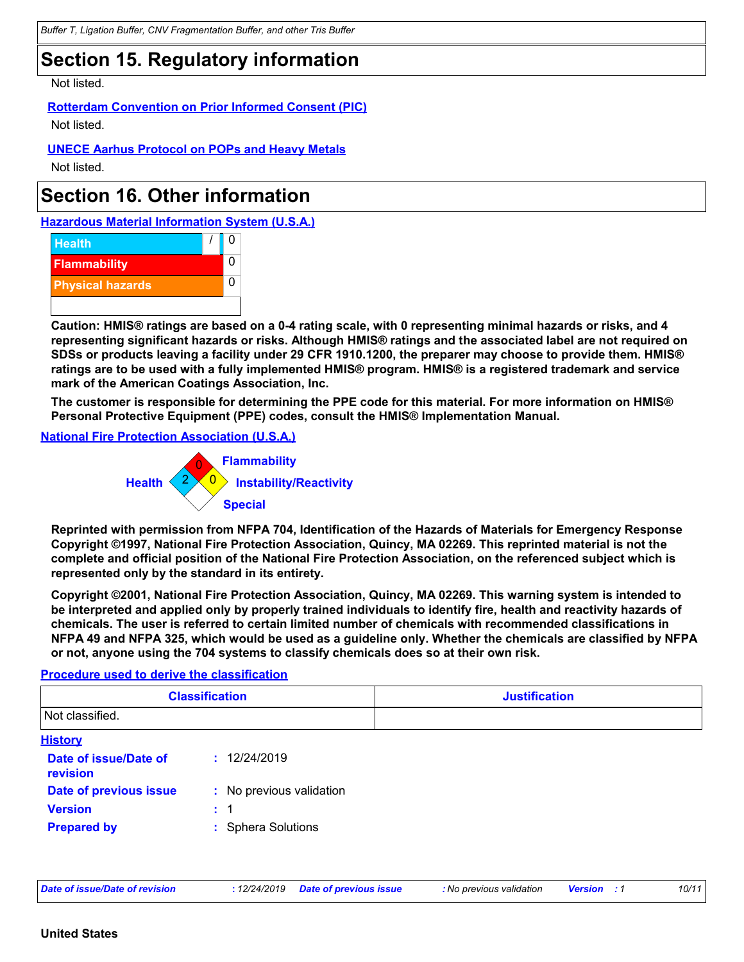### **Section 15. Regulatory information**

Not listed.

**Rotterdam Convention on Prior Informed Consent (PIC)** Not listed.

**UNECE Aarhus Protocol on POPs and Heavy Metals**

Not listed.

### **Section 16. Other information**

**Hazardous Material Information System (U.S.A.)**



**Caution: HMIS® ratings are based on a 0-4 rating scale, with 0 representing minimal hazards or risks, and 4 representing significant hazards or risks. Although HMIS® ratings and the associated label are not required on SDSs or products leaving a facility under 29 CFR 1910.1200, the preparer may choose to provide them. HMIS® ratings are to be used with a fully implemented HMIS® program. HMIS® is a registered trademark and service mark of the American Coatings Association, Inc.**

**The customer is responsible for determining the PPE code for this material. For more information on HMIS® Personal Protective Equipment (PPE) codes, consult the HMIS® Implementation Manual.**

#### **National Fire Protection Association (U.S.A.)**



**Reprinted with permission from NFPA 704, Identification of the Hazards of Materials for Emergency Response Copyright ©1997, National Fire Protection Association, Quincy, MA 02269. This reprinted material is not the complete and official position of the National Fire Protection Association, on the referenced subject which is represented only by the standard in its entirety.**

**Copyright ©2001, National Fire Protection Association, Quincy, MA 02269. This warning system is intended to be interpreted and applied only by properly trained individuals to identify fire, health and reactivity hazards of chemicals. The user is referred to certain limited number of chemicals with recommended classifications in NFPA 49 and NFPA 325, which would be used as a guideline only. Whether the chemicals are classified by NFPA or not, anyone using the 704 systems to classify chemicals does so at their own risk.**

#### **Procedure used to derive the classification**

| <b>Classification</b><br>Not classified. |                          | <b>Justification</b> |  |  |
|------------------------------------------|--------------------------|----------------------|--|--|
|                                          |                          |                      |  |  |
| <b>History</b>                           |                          |                      |  |  |
| Date of issue/Date of<br>revision        | : 12/24/2019             |                      |  |  |
| Date of previous issue                   | : No previous validation |                      |  |  |
| <b>Version</b>                           | $\div$ 1                 |                      |  |  |
| <b>Prepared by</b>                       | : Sphera Solutions       |                      |  |  |

*Date of issue/Date of revision* **:** *12/24/2019 Date of previous issue : No previous validation Version : 1 10/11*